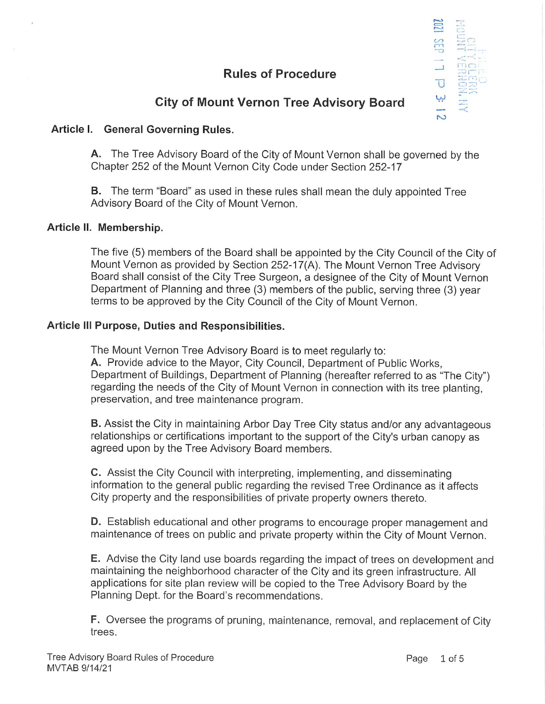# Rules of Procedure



## City of Mount Vernon Tree Advisory Board

## Article 1. General Governing Rules.

A. The Tree Advisory Board of the City of Mount Vernon shall be governed by the Chapter 252 of the Mount Vernon City Code under Section 252-17

B. The term "Board" as used in these rules shall mean the duly appointed Tree Advisory Board of the City of Mount Vernon.

## Article II. Membership.

The five (5) members of the Board shall be appointed by the City Council of the City of Mount Vernon as provided by Section 252-17(A). The Mount Vernon Tree Advisory Board shall consist of the City Tree Surgeon, a designee of the City of Mount Vernon Department of Planning and three (3) members of the public, serving three (3) year terms to be approved by the City Council of the City of Mount Vernon.

## Article Ill Purpose, Duties and Responsibilities.

The Mount Vernon Tree Advisory Board is to meet regularly to: A. Provide advice to the Mayor, City Council, Department of Public Works, Department of Buildings, Department of Planning (hereafter referred to as "The City") regarding the needs of the City of Mount Vernon in connection with its tree planting, preservation, and tree maintenance program.

**B.** Assist the City in maintaining Arbor Day Tree City status and/or any advantageous relationships or certifications important to the support of the City's urban canopy as agreed upon by the Tree Advisory Board members.

C. ASSiSt the City Council with interpreting, implementing, and disseminating information to the general public regarding the revised Tree Ordinance as it affects City property and the responsibilities of private property owners thereto.

D. Establish educational and other programs to encourage proper management and maintenance of trees on public and private property within the City of Mount Vernon.

E. Advise the City land use boards regarding the impact of trees on development and maintaining the neighborhood character of the City and its green infrastructure. All applications for site plan review will be copied to the Tree Advisory Board by the Planning Dept. for the Board's recommendations.

F. Oversee the programs of pruning, maintenance, removal, and replacement of City trees.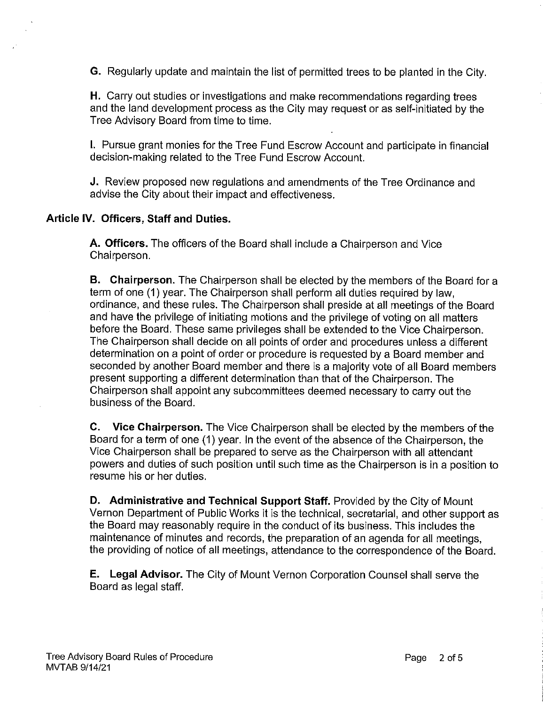G. Regularly update and maintain the list of permitted trees to be planted in the City.

H. Carry out studies or investigations and make recommendations regarding trees and the land development process as the City may request or as self-initiated by the Tree Advisory Board from time to time.

1. Pursue grant monies for the Tree Fund Escrow Account and participate in financial decision-making related to the Tree Fund Escrow Account.

J. Review proposed new regulations and amendments of the Tree Ordinance and advise the City about their impact and effectiveness.

## Article IV. Officers, Staff and Duties.

A. Officers. The officers of the Board shall include a Chairperson and Vice Chairperson.

B. Chairperson. The Chairperson shall be elected by the members of the Board for a term of one (1 ) year. The Chairperson shall perform all duties required by law, ordinance, and these rules. The Chairperson shall preside at all meetings of the Board and have the privilege of initiating motions and the privilege of voting on all matters before the Board. These same privileges shall be extended to the Vice Chairperson. The Chairperson shall decide on all points of order and procedures unless a different determination on a point of order or procedure is requested by a Board member and seconded by another Board member and there is a majority vote of all Board members present supporting a different determination than that of the Chairperson. The Chairperson shall appoint any subcommittees deemed necessary to carry out the business of the Board.

C. Vice Chairperson. The Vice Chairperson shall be elected by the members of the Board for a term of one (1) year. In the event of the absence of the Chairperson, the Vice Chairperson shall be prepared to serve as the Chairperson with all attendant powers and duties of such position until such time as the Chairperson is in a position to resume his or her duties.

D. Administrative and Technical Support Staff. Provided by the City of Mount Vernon Department of Public Works it is the technical, secretarial, and other support as the Board may reasonably require in the conduct of its business. This includes the maintenance of minutes and records, the preparation of an agenda for all meetings, the providing of notice of all meetings, attendance to the correspondence of the Board.

E. Legal Advisor. The City of Mount Vernon Corporation Counsel shall serve the Board as legal staff.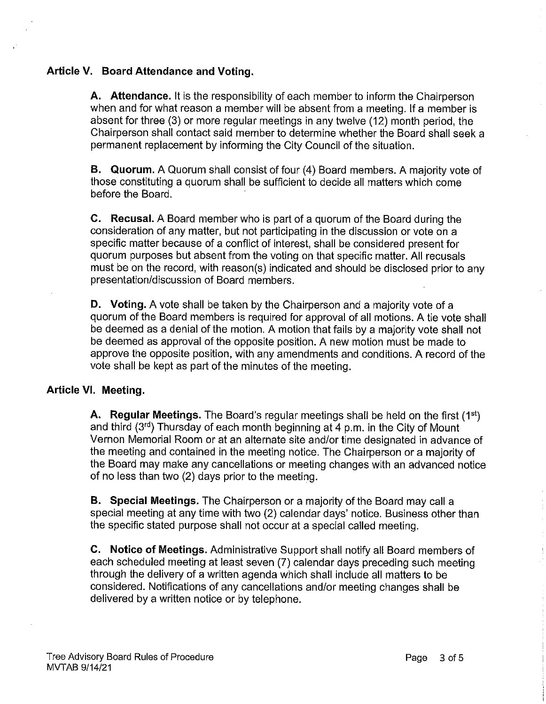## Article V. Board Attendance and Voting.

A. Attendance. It is the responsibility of each member to inform the Chairperson when and for what reason a member will be absent from a meeting. If a member is absent for three (3) or more regular meetings in any twelve (12) month period, the Chairperson shall contact said member to determine whether the Board shall seek a permanent replacement by informing the City Council of the situation.

B. Quorum. A Quorum shall consist of four (4) Board members. A majority vote of those constituting a quorum shall be sufficient to decide all matters which come before the Board.

C. Recusal. A Board member who is part of a quorum of the Board during the consideration of any matter, but not participating in the discussion or vote on a specific matter because of a conflict of interest, shall be considered present for quorum purposes but absent from the voting on that specific matter. All recusals must be on the record, with reason(s) indicated and should be disclosed prior to any presentation/discussion of Board members.

D. Voting. A vote shall be taken by the Chairperson and a majority vote of a quorum of the Board members is required for approval of all motions. A tie vote shall be deemed as a denial of the motion. A motion that fails by a majority vote shall not be deemed as approval of the opposite position. A new motion must be made to approve the opposite position, with any amendments and conditions. A record of the vote shall be kept as part of the minutes of the meeting.

## Article Vl. Meeting.

A. Regular Meetings. The Board's regular meetings shall be held on the first (1st) and third (3rd) Thursday of each month beginning at 4 p.m. in the City of Mount Vernon Memorial Room or at an alternate site and/or time designated in advance of the meeting and contained in the meeting notice. The Chairperson or a majority of the Board may make any cancellations or meeting changes with an advanced notice of no less than two (2) days prior to the meeting.

B. Special Meetings. The Chairperson or a majority of the Board may call a special meeting at any time with two (2) calendar days' notice. Business other than the specific stated purpose shall not occur at a special called meeting.

C. Notice of Meetings. Administrative Support shall notify all Board members of each scheduled meeting at least seven (7) calendar days preceding such meeting through the delivery of a written agenda which shall include all matters to be considered. Notifications of any cancellations and/or meeting changes shall be delivered by a written notice or by telephone.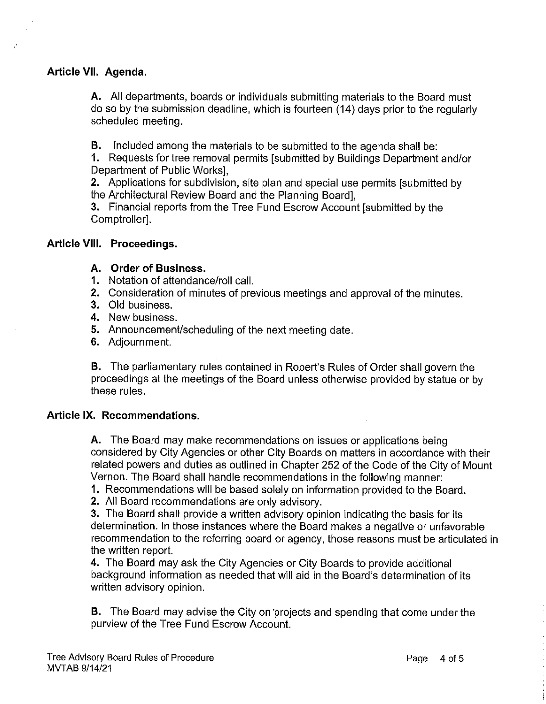## Article Vll. Agenda.

A. All departments, boards or individuals submitting materials to the Board must do so by the submission deadline, which is fourteen (14) days prior to the regularly scheduled meeting.

B. Included among the materials to be submitted to the agenda shall be:

1. Requests for tree removal permits [submitted by Buildings Department and/or Department of Public Works],

2. Applications for subdivision, site plan and special use permits [submitted by the Architectural Review Board and the Planning Board],

3. Financial reports from the Tree Fund Escrow Account [submitted by the Comptroller].

#### Article Vlll. Proceedings.

## A. Order of Business.

- 1. Notation of attendance/roll call.
- Consideration of minutes of previous meetings and approval of the minutes.
- 3. Old business.
- 4. New business.
- 5. Announcement/scheduling of the next meeting date.
- Adjournment.

B. The parliamentary rules contained in Robert's Rules of Order shall govern the proceedings at the meetings of the Board unless otherwise provided by statue or by these rules.

## Article IX. Recommendations.

A. The Board may make recommendations on issues or applications being considered by City Agencies or other City Boards on matters in accordance with their related powers and duties as outlined in Chapter 252 of the Code of the City of Mount Vernon. The Board shall handle recommendations in the following manner:

- 1. Recommendations will be based solely on information provided to the Board.
- 2. All Board recommendations are only advisory.

3. The Board shall provide a written advisory opinion indicating the basis for its determination. In those instances where the Board makes a negative or unfavorable recommendation to the referring board or agency, those reasons must be articulated in the written report.

4. The Board may ask the City Agencies or City Boards to provide additional background information as needed that will aid in the Board's determination of its written advisory opinion.

B. The Board may advise the City on 'projects and spending that come under the purview of the Tree Fund Escrow Account.